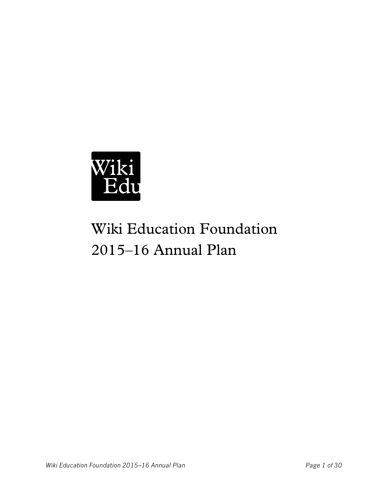

# Wiki Education Foundation 2015–16 Annual Plan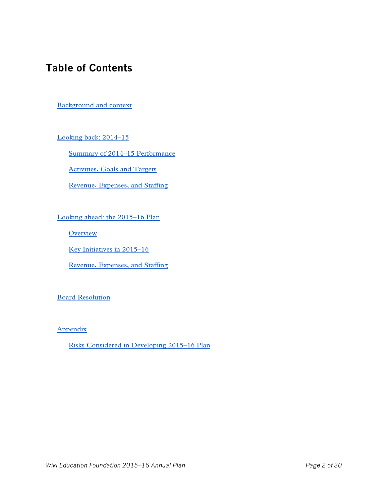# **Table of Contents**

#### [Background and context](#page-2-0)

[Looking back: 2014–15](#page-2-1)

[Summary of 2014–15 Performance](#page-2-2)

[Activities, Goals and Targets](#page-3-0)

[Revenue, Expenses, and Staffing](#page-12-0)

[Looking ahead: the 2015–16 Plan](#page-15-0)

<span id="page-1-0"></span>**[Overview](#page-15-1)** 

<span id="page-1-1"></span>[Key Initiatives in 2015–16](#page-1-0)

[Revenue, Expenses, and Staffing](#page-1-1)

[Board Resolution](#page-28-0)

[Appendix](#page-29-0)

[Risks Considered in Developing 2015–16 Plan](#page-29-1)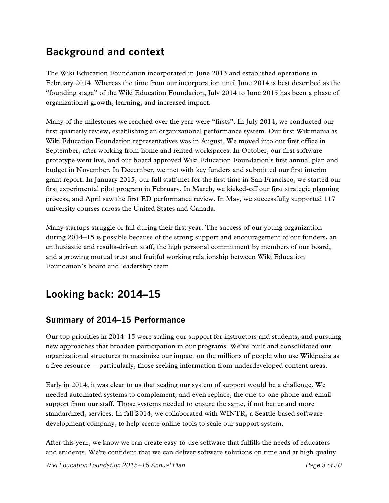# <span id="page-2-0"></span>**Background and context**

The Wiki Education Foundation incorporated in June 2013 and established operations in February 2014. Whereas the time from our incorporation until June 2014 is best described as the "founding stage" of the Wiki Education Foundation, July 2014 to June 2015 has been a phase of organizational growth, learning, and increased impact.

Many of the milestones we reached over the year were "firsts". In July 2014, we conducted our first quarterly review, establishing an organizational performance system. Our first Wikimania as Wiki Education Foundation representatives was in August. We moved into our first office in September, after working from home and rented workspaces. In October, our first software prototype went live, and our board approved Wiki Education Foundation's first annual plan and budget in November. In December, we met with key funders and submitted our first interim grant report. In January 2015, our full staff met for the first time in San Francisco, we started our first experimental pilot program in February. In March, we kicked-off our first strategic planning process, and April saw the first ED performance review. In May, we successfully supported 117 university courses across the United States and Canada.

Many startups struggle or fail during their first year. The success of our young organization during 2014–15 is possible because of the strong support and encouragement of our funders, an enthusiastic and results-driven staff, the high personal commitment by members of our board, and a growing mutual trust and fruitful working relationship between Wiki Education Foundation's board and leadership team.

# <span id="page-2-1"></span>**Looking back: 2014–15**

### <span id="page-2-2"></span>**Summary of 2014–15 Performance**

Our top priorities in 2014–15 were scaling our support for instructors and students, and pursuing new approaches that broaden participation in our programs. We've built and consolidated our organizational structures to maximize our impact on the millions of people who use Wikipedia as a free resource – particularly, those seeking information from underdeveloped content areas.

Early in 2014, it was clear to us that scaling our system of support would be a challenge. We needed automated systems to complement, and even replace, the one-to-one phone and email support from our staff. Those systems needed to ensure the same, if not better and more standardized, services. In fall 2014, we collaborated with WINTR, a Seattle-based software development company, to help create online tools to scale our support system.

After this year, we know we can create easy-to-use software that fulfills the needs of educators and students. We're confident that we can deliver software solutions on time and at high quality.

*Wiki Education Foundation 2015–16 Annual Plan Page 3 of 30*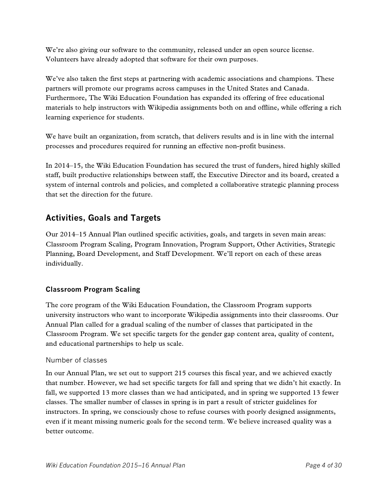We're also giving our software to the community, released under an open source license. Volunteers have already adopted that software for their own purposes.

We've also taken the first steps at partnering with academic associations and champions. These partners will promote our programs across campuses in the United States and Canada. Furthermore, The Wiki Education Foundation has expanded its offering of free educational materials to help instructors with Wikipedia assignments both on and offline, while offering a rich learning experience for students.

<span id="page-3-0"></span>We have built an organization, from scratch, that delivers results and is in line with the internal processes and procedures required for running an effective non-profit business.

In 2014–15, the Wiki Education Foundation has secured the trust of funders, hired highly skilled staff, built productive relationships between staff, the Executive Director and its board, created a system of internal controls and policies, and completed a collaborative strategic planning process that set the direction for the future.

# **Activities, Goals and Targets**

Our 2014–15 Annual Plan outlined specific activities, goals, and targets in seven main areas: Classroom Program Scaling, Program Innovation, Program Support, Other Activities, Strategic Planning, Board Development, and Staff Development. We'll report on each of these areas individually.

#### **Classroom Program Scaling**

The core program of the Wiki Education Foundation, the Classroom Program supports university instructors who want to incorporate Wikipedia assignments into their classrooms. Our Annual Plan called for a gradual scaling of the number of classes that participated in the Classroom Program. We set specific targets for the gender gap content area, quality of content, and educational partnerships to help us scale.

#### Number of classes

In our Annual Plan, we set out to support 215 courses this fiscal year, and we achieved exactly that number. However, we had set specific targets for fall and spring that we didn't hit exactly. In fall, we supported 13 more classes than we had anticipated, and in spring we supported 13 fewer classes. The smaller number of classes in spring is in part a result of stricter guidelines for instructors. In spring, we consciously chose to refuse courses with poorly designed assignments, even if it meant missing numeric goals for the second term. We believe increased quality was a better outcome.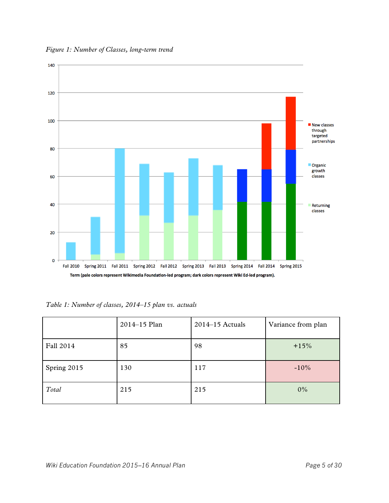*Figure 1: Number of Classes, long-term trend*



*Table 1: Number of classes, 2014–15 plan vs. actuals* 

|             | 2014-15 Plan | $2014-15$ Actuals | Variance from plan |
|-------------|--------------|-------------------|--------------------|
| Fall 2014   | 85           | 98                | $+15%$             |
| Spring 2015 | 130          | 117               | $-10%$             |
| Total       | 215          | 215               | $0\%$              |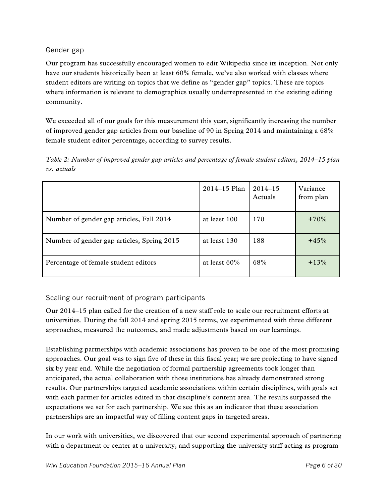#### Gender gap

Our program has successfully encouraged women to edit Wikipedia since its inception. Not only have our students historically been at least 60% female, we've also worked with classes where student editors are writing on topics that we define as "gender gap" topics. These are topics where information is relevant to demographics usually underrepresented in the existing editing community.

We exceeded all of our goals for this measurement this year, significantly increasing the number of improved gender gap articles from our baseline of 90 in Spring 2014 and maintaining a 68% female student editor percentage, according to survey results.

*Table 2: Number of improved gender gap articles and percentage of female student editors, 2014–15 plan vs. actuals* 

|                                            | $2014 - 15$ Plan | $2014 - 15$<br>Actuals | Variance<br>from plan |
|--------------------------------------------|------------------|------------------------|-----------------------|
| Number of gender gap articles, Fall 2014   | at least 100     | 170                    | $+70%$                |
| Number of gender gap articles, Spring 2015 | at least 130     | 188                    | $+45%$                |
| Percentage of female student editors       | at least $60\%$  | 68%                    | $+13%$                |

Scaling our recruitment of program participants

Our 2014–15 plan called for the creation of a new staff role to scale our recruitment efforts at universities. During the fall 2014 and spring 2015 terms, we experimented with three different approaches, measured the outcomes, and made adjustments based on our learnings.

Establishing partnerships with academic associations has proven to be one of the most promising approaches. Our goal was to sign five of these in this fiscal year; we are projecting to have signed six by year end. While the negotiation of formal partnership agreements took longer than anticipated, the actual collaboration with those institutions has already demonstrated strong results. Our partnerships targeted academic associations within certain disciplines, with goals set with each partner for articles edited in that discipline's content area. The results surpassed the expectations we set for each partnership. We see this as an indicator that these association partnerships are an impactful way of filling content gaps in targeted areas.

In our work with universities, we discovered that our second experimental approach of partnering with a department or center at a university, and supporting the university staff acting as program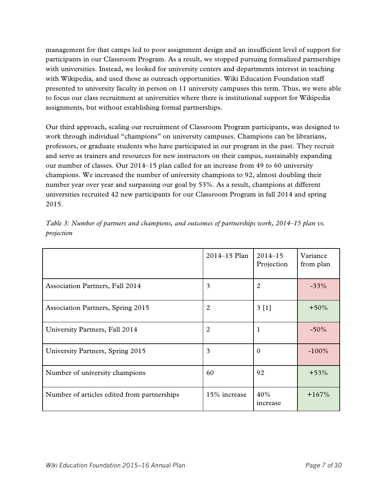management for that camps led to poor assignment design and an insufficient level of support for participants in our Classroom Program. As a result, we stopped pursuing formalized partnerships with universities. Instead, we looked for university centers and departments interest in teaching with Wikipedia, and used those as outreach opportunities. Wiki Education Foundation staff presented to university faculty in person on 11 university campuses this term. Thus, we were able to focus our class recruitment at universities where there is institutional support for Wikipedia assignments, but without establishing formal partnerships.

Our third approach, scaling our recruitment of Classroom Program participants, was designed to work through individual "champions" on university campuses. Champions can be librarians, professors, or graduate students who have participated in our program in the past. They recruit and serve as trainers and resources for new instructors on their campus, sustainably expanding our number of classes. Our 2014–15 plan called for an increase from 49 to 60 university champions. We increased the number of university champions to 92, almost doubling their number year over year and surpassing our goal by 53%. As a result, champions at different universities recruited 42 new participants for our Classroom Program in fall 2014 and spring 2015.

|                                             | 2014-15 Plan | $2014 - 15$<br>Projection | Variance<br>from plan |
|---------------------------------------------|--------------|---------------------------|-----------------------|
| <b>Association Partners, Fall 2014</b>      | 3            | $\overline{2}$            | $-33%$                |
| <b>Association Partners, Spring 2015</b>    | 2            | 3[1]                      | $+50\%$               |
| University Partners, Fall 2014              | 2            | 1                         | $-50\%$               |
| University Partners, Spring 2015            | 3            | $\Omega$                  | $-100\%$              |
| Number of university champions              | 60           | 92                        | $+53\%$               |
| Number of articles edited from partnerships | 15% increase | 40%<br>increase           | $+167%$               |

*Table 3: Number of partners and champions, and outcomes of partnerships work, 2014–15 plan vs. projection*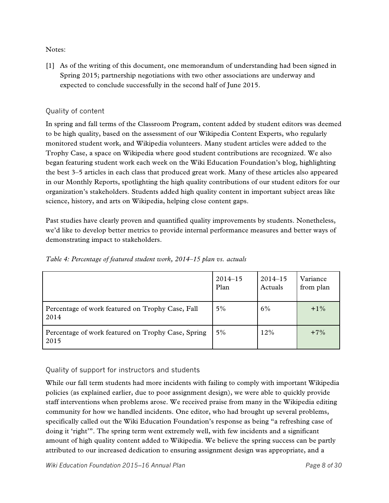Notes:

[1] As of the writing of this document, one memorandum of understanding had been signed in Spring 2015; partnership negotiations with two other associations are underway and expected to conclude successfully in the second half of June 2015.

#### Quality of content

In spring and fall terms of the Classroom Program, content added by student editors was deemed to be high quality, based on the assessment of our Wikipedia Content Experts, who regularly monitored student work, and Wikipedia volunteers. Many student articles were added to the Trophy Case, a space on Wikipedia where good student contributions are recognized. We also began featuring student work each week on the Wiki Education Foundation's blog, highlighting the best 3–5 articles in each class that produced great work. Many of these articles also appeared in our Monthly Reports, spotlighting the high quality contributions of our student editors for our organization's stakeholders. Students added high quality content in important subject areas like science, history, and arts on Wikipedia, helping close content gaps.

Past studies have clearly proven and quantified quality improvements by students. Nonetheless, we'd like to develop better metrics to provide internal performance measures and better ways of demonstrating impact to stakeholders.

|                                                            | $2014 - 15$ | $2014 - 15$ | Variance  |
|------------------------------------------------------------|-------------|-------------|-----------|
|                                                            | Plan        | Actuals     | from plan |
| Percentage of work featured on Trophy Case, Fall<br>2014   | $5\%$       | 6%          | $+1\%$    |
| Percentage of work featured on Trophy Case, Spring<br>2015 | $5\%$       | 12%         | $+7\%$    |

*Table 4: Percentage of featured student work, 2014–15 plan vs. actuals* 

#### Quality of support for instructors and students

While our fall term students had more incidents with failing to comply with important Wikipedia policies (as explained earlier, due to poor assignment design), we were able to quickly provide staff interventions when problems arose. We received praise from many in the Wikipedia editing community for how we handled incidents. One editor, who had brought up several problems, specifically called out the Wiki Education Foundation's response as being "a refreshing case of doing it 'right'". The spring term went extremely well, with few incidents and a significant amount of high quality content added to Wikipedia. We believe the spring success can be partly attributed to our increased dedication to ensuring assignment design was appropriate, and a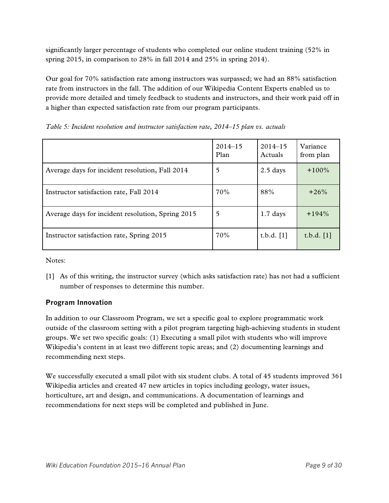significantly larger percentage of students who completed our online student training (52% in spring 2015, in comparison to 28% in fall 2014 and 25% in spring 2014).

Our goal for 70% satisfaction rate among instructors was surpassed; we had an 88% satisfaction rate from instructors in the fall. The addition of our Wikipedia Content Experts enabled us to provide more detailed and timely feedback to students and instructors, and their work paid off in a higher than expected satisfaction rate from our program participants.

|                                                   | $2014 - 15$<br>Plan | $2014 - 15$<br>Actuals | Variance<br>from plan |
|---------------------------------------------------|---------------------|------------------------|-----------------------|
| Average days for incident resolution, Fall 2014   | 5                   | $2.5$ days             | $+100\%$              |
| Instructor satisfaction rate, Fall 2014           | 70%                 | 88%                    | $+26%$                |
| Average days for incident resolution, Spring 2015 | 5                   | $1.7$ days             | $+194\%$              |
| Instructor satisfaction rate, Spring 2015         | 70%                 | t.b.d. $[1]$           | t.b.d. $[1]$          |

*Table 5: Incident resolution and instructor satisfaction rate, 2014–15 plan vs. actuals* 

Notes:

[1] As of this writing, the instructor survey (which asks satisfaction rate) has not had a sufficient number of responses to determine this number.

### **Program Innovation**

In addition to our Classroom Program, we set a specific goal to explore programmatic work outside of the classroom setting with a pilot program targeting high-achieving students in student groups. We set two specific goals: (1) Executing a small pilot with students who will improve Wikipedia's content in at least two different topic areas; and (2) documenting learnings and recommending next steps.

We successfully executed a small pilot with six student clubs. A total of 45 students improved 361 Wikipedia articles and created 47 new articles in topics including geology, water issues, horticulture, art and design, and communications. A documentation of learnings and recommendations for next steps will be completed and published in June.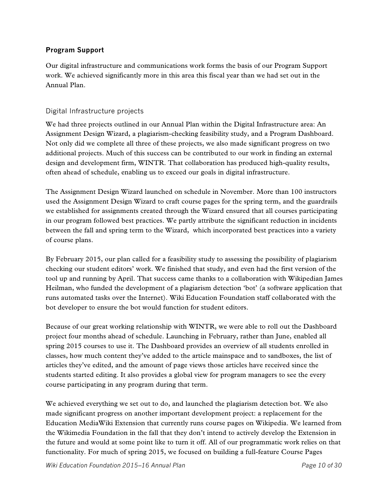#### **Program Support**

Our digital infrastructure and communications work forms the basis of our Program Support work. We achieved significantly more in this area this fiscal year than we had set out in the Annual Plan.

#### Digital Infrastructure projects

We had three projects outlined in our Annual Plan within the Digital Infrastructure area: An Assignment Design Wizard, a plagiarism-checking feasibility study, and a Program Dashboard. Not only did we complete all three of these projects, we also made significant progress on two additional projects. Much of this success can be contributed to our work in finding an external design and development firm, WINTR. That collaboration has produced high-quality results, often ahead of schedule, enabling us to exceed our goals in digital infrastructure.

The Assignment Design Wizard launched on schedule in November. More than 100 instructors used the Assignment Design Wizard to craft course pages for the spring term, and the guardrails we established for assignments created through the Wizard ensured that all courses participating in our program followed best practices. We partly attribute the significant reduction in incidents between the fall and spring term to the Wizard, which incorporated best practices into a variety of course plans.

By February 2015, our plan called for a feasibility study to assessing the possibility of plagiarism checking our student editors' work. We finished that study, and even had the first version of the tool up and running by April. That success came thanks to a collaboration with Wikipedian James Heilman, who funded the development of a plagiarism detection 'bot' (a software application that runs automated tasks over the Internet). Wiki Education Foundation staff collaborated with the bot developer to ensure the bot would function for student editors.

Because of our great working relationship with WINTR, we were able to roll out the Dashboard project four months ahead of schedule. Launching in February, rather than June, enabled all spring 2015 courses to use it. The Dashboard provides an overview of all students enrolled in classes, how much content they've added to the article mainspace and to sandboxes, the list of articles they've edited, and the amount of page views those articles have received since the students started editing. It also provides a global view for program managers to see the every course participating in any program during that term.

We achieved everything we set out to do, and launched the plagiarism detection bot. We also made significant progress on another important development project: a replacement for the Education MediaWiki Extension that currently runs course pages on Wikipedia. We learned from the Wikimedia Foundation in the fall that they don't intend to actively develop the Extension in the future and would at some point like to turn it off. All of our programmatic work relies on that functionality. For much of spring 2015, we focused on building a full-feature Course Pages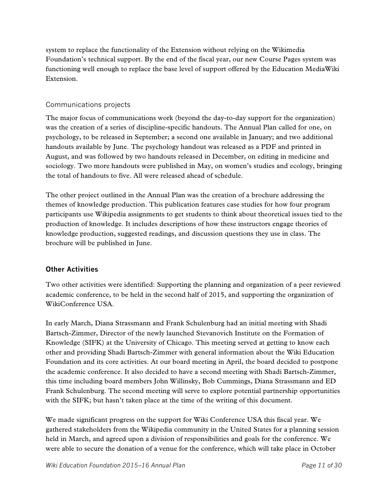system to replace the functionality of the Extension without relying on the Wikimedia Foundation's technical support. By the end of the fiscal year, our new Course Pages system was functioning well enough to replace the base level of support offered by the Education MediaWiki Extension.

#### Communications projects

The major focus of communications work (beyond the day-to-day support for the organization) was the creation of a series of discipline-specific handouts. The Annual Plan called for one, on psychology, to be released in September; a second one available in January; and two additional handouts available by June. The psychology handout was released as a PDF and printed in August, and was followed by two handouts released in December, on editing in medicine and sociology. Two more handouts were published in May, on women's studies and ecology, bringing the total of handouts to five. All were released ahead of schedule.

The other project outlined in the Annual Plan was the creation of a brochure addressing the themes of knowledge production. This publication features case studies for how four program participants use Wikipedia assignments to get students to think about theoretical issues tied to the production of knowledge. It includes descriptions of how these instructors engage theories of knowledge production, suggested readings, and discussion questions they use in class. The brochure will be published in June.

#### **Other Activities**

Two other activities were identified: Supporting the planning and organization of a peer reviewed academic conference, to be held in the second half of 2015, and supporting the organization of WikiConference USA.

In early March, Diana Strassmann and Frank Schulenburg had an initial meeting with Shadi Bartsch-Zimmer, Director of the newly launched Stevanovich Institute on the Formation of Knowledge (SIFK) at the University of Chicago. This meeting served at getting to know each other and providing Shadi Bartsch-Zimmer with general information about the Wiki Education Foundation and its core activities. At our board meeting in April, the board decided to postpone the academic conference. It also decided to have a second meeting with Shadi Bartsch-Zimmer, this time including board members John Willinsky, Bob Cummings, Diana Strassmann and ED Frank Schulenburg. The second meeting will serve to explore potential partnership opportunities with the SIFK; but hasn't taken place at the time of the writing of this document.

We made significant progress on the support for Wiki Conference USA this fiscal year. We gathered stakeholders from the Wikipedia community in the United States for a planning session held in March, and agreed upon a division of responsibilities and goals for the conference. We were able to secure the donation of a venue for the conference, which will take place in October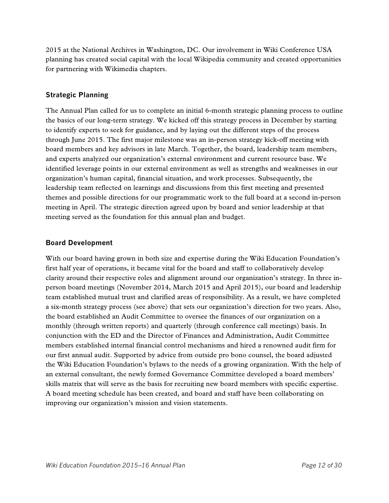2015 at the National Archives in Washington, DC. Our involvement in Wiki Conference USA planning has created social capital with the local Wikipedia community and created opportunities for partnering with Wikimedia chapters.

#### **Strategic Planning**

The Annual Plan called for us to complete an initial 6-month strategic planning process to outline the basics of our long-term strategy. We kicked off this strategy process in December by starting to identify experts to seek for guidance, and by laying out the different steps of the process through June 2015. The first major milestone was an in-person strategy kick-off meeting with board members and key advisors in late March. Together, the board, leadership team members, and experts analyzed our organization's external environment and current resource base. We identified leverage points in our external environment as well as strengths and weaknesses in our organization's human capital, financial situation, and work processes. Subsequently, the leadership team reflected on learnings and discussions from this first meeting and presented themes and possible directions for our programmatic work to the full board at a second in-person meeting in April. The strategic direction agreed upon by board and senior leadership at that meeting served as the foundation for this annual plan and budget.

#### **Board Development**

With our board having grown in both size and expertise during the Wiki Education Foundation's first half year of operations, it became vital for the board and staff to collaboratively develop clarity around their respective roles and alignment around our organization's strategy. In three inperson board meetings (November 2014, March 2015 and April 2015), our board and leadership team established mutual trust and clarified areas of responsibility. As a result, we have completed a six-month strategy process (see above) that sets our organization's direction for two years. Also, the board established an Audit Committee to oversee the finances of our organization on a monthly (through written reports) and quarterly (through conference call meetings) basis. In conjunction with the ED and the Director of Finances and Administration, Audit Committee members established internal financial control mechanisms and hired a renowned audit firm for our first annual audit. Supported by advice from outside pro bono counsel, the board adjusted the Wiki Education Foundation's bylaws to the needs of a growing organization. With the help of an external consultant, the newly formed Governance Committee developed a board members' skills matrix that will serve as the basis for recruiting new board members with specific expertise. A board meeting schedule has been created, and board and staff have been collaborating on improving our organization's mission and vision statements.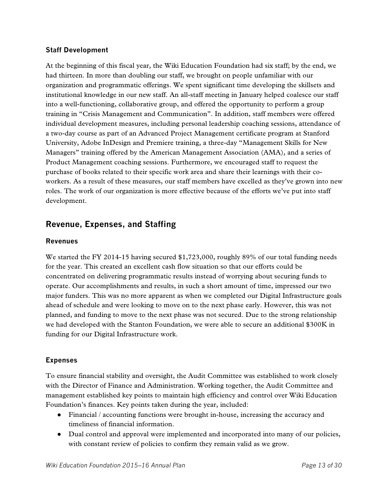#### **Staff Development**

At the beginning of this fiscal year, the Wiki Education Foundation had six staff; by the end, we had thirteen. In more than doubling our staff, we brought on people unfamiliar with our organization and programmatic offerings. We spent significant time developing the skillsets and institutional knowledge in our new staff. An all-staff meeting in January helped coalesce our staff into a well-functioning, collaborative group, and offered the opportunity to perform a group training in "Crisis Management and Communication". In addition, staff members were offered individual development measures, including personal leadership coaching sessions, attendance of a two-day course as part of an Advanced Project Management certificate program at Stanford University, Adobe InDesign and Premiere training, a three-day "Management Skills for New Managers" training offered by the American Management Association (AMA), and a series of Product Management coaching sessions. Furthermore, we encouraged staff to request the purchase of books related to their specific work area and share their learnings with their coworkers. As a result of these measures, our staff members have excelled as they've grown into new roles. The work of our organization is more effective because of the efforts we've put into staff development.

### <span id="page-12-0"></span>**Revenue, Expenses, and Staffing**

#### **Revenues**

We started the FY 2014-15 having secured \$1,723,000, roughly 89% of our total funding needs for the year. This created an excellent cash flow situation so that our efforts could be concentrated on delivering programmatic results instead of worrying about securing funds to operate. Our accomplishments and results, in such a short amount of time, impressed our two major funders. This was no more apparent as when we completed our Digital Infrastructure goals ahead of schedule and were looking to move on to the next phase early. However, this was not planned, and funding to move to the next phase was not secured. Due to the strong relationship we had developed with the Stanton Foundation, we were able to secure an additional \$300K in funding for our Digital Infrastructure work.

#### **Expenses**

To ensure financial stability and oversight, the Audit Committee was established to work closely with the Director of Finance and Administration. Working together, the Audit Committee and management established key points to maintain high efficiency and control over Wiki Education Foundation's finances. Key points taken during the year, included:

- Financial / accounting functions were brought in-house, increasing the accuracy and timeliness of financial information.
- Dual control and approval were implemented and incorporated into many of our policies, with constant review of policies to confirm they remain valid as we grow.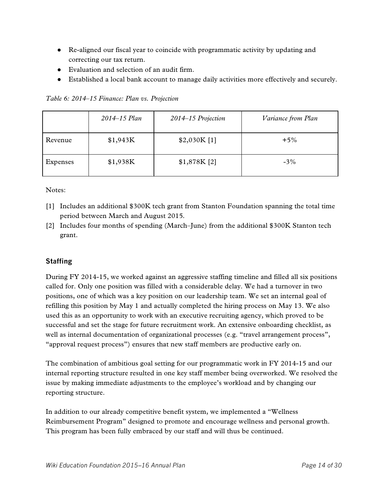- Re-aligned our fiscal year to coincide with programmatic activity by updating and correcting our tax return.
- Evaluation and selection of an audit firm.
- Established a local bank account to manage daily activities more effectively and securely.

|          | 2014–15 Plan | 2014–15 Projection | Variance from Plan |
|----------|--------------|--------------------|--------------------|
| Revenue  | \$1,943K     | \$2,030K[1]        | $+5\%$             |
| Expenses | \$1,938K     | \$1,878K [2]       | $-3\%$             |

*Table 6: 2014–15 Finance: Plan vs. Projection*

#### Notes:

- [1] Includes an additional \$300K tech grant from Stanton Foundation spanning the total time period between March and August 2015*.*
- [2] Includes four months of spending (March–June) from the additional \$300K Stanton tech grant.

#### **Staffing**

During FY 2014-15, we worked against an aggressive staffing timeline and filled all six positions called for. Only one position was filled with a considerable delay. We had a turnover in two positions, one of which was a key position on our leadership team. We set an internal goal of refilling this position by May 1 and actually completed the hiring process on May 13. We also used this as an opportunity to work with an executive recruiting agency, which proved to be successful and set the stage for future recruitment work. An extensive onboarding checklist, as well as internal documentation of organizational processes (e.g. "travel arrangement process", "approval request process") ensures that new staff members are productive early on.

The combination of ambitious goal setting for our programmatic work in FY 2014-15 and our internal reporting structure resulted in one key staff member being overworked. We resolved the issue by making immediate adjustments to the employee's workload and by changing our reporting structure.

In addition to our already competitive benefit system, we implemented a "Wellness Reimbursement Program" designed to promote and encourage wellness and personal growth. This program has been fully embraced by our staff and will thus be continued.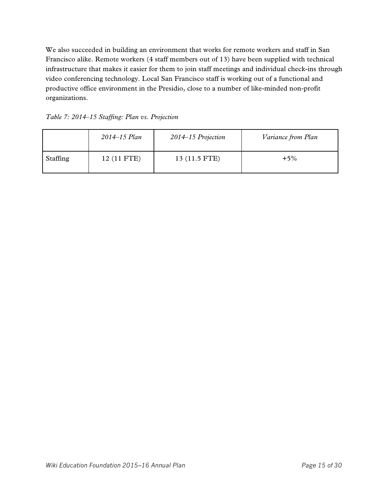We also succeeded in building an environment that works for remote workers and staff in San Francisco alike. Remote workers (4 staff members out of 13) have been supplied with technical infrastructure that makes it easier for them to join staff meetings and individual check-ins through video conferencing technology. Local San Francisco staff is working out of a functional and productive office environment in the Presidio, close to a number of like-minded non-profit organizations.

*Table 7: 2014–15 Staffing: Plan vs. Projection*

|          | 2014–15 Plan | 2014–15 Projection | Variance from Plan |
|----------|--------------|--------------------|--------------------|
| Staffing | 12 (11 FTE)  | 13 (11.5 FTE)      | $+5\%$             |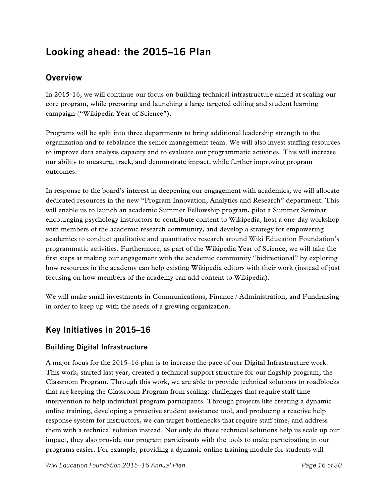# <span id="page-15-0"></span>**Looking ahead: the 2015–16 Plan**

### <span id="page-15-1"></span>**Overview**

In 2015-16, we will continue our focus on building technical infrastructure aimed at scaling our core program, while preparing and launching a large targeted editing and student learning campaign ("Wikipedia Year of Science").

Programs will be split into three departments to bring additional leadership strength to the organization and to rebalance the senior management team. We will also invest staffing resources to improve data analysis capacity and to evaluate our programmatic activities. This will increase our ability to measure, track, and demonstrate impact, while further improving program outcomes.

In response to the board's interest in deepening our engagement with academics, we will allocate dedicated resources in the new "Program Innovation, Analytics and Research" department. This will enable us to launch an academic Summer Fellowship program, pilot a Summer Seminar encouraging psychology instructors to contribute content to Wikipedia, host a one-day workshop with members of the academic research community, and develop a strategy for empowering academics to conduct qualitative and quantitative research around Wiki Education Foundation's programmatic activities. Furthermore, as part of the Wikipedia Year of Science, we will take the first steps at making our engagement with the academic community "bidirectional" by exploring how resources in the academy can help existing Wikipedia editors with their work (instead of just focusing on how members of the academy can add content to Wikipedia).

We will make small investments in Communications, Finance / Administration, and Fundraising in order to keep up with the needs of a growing organization.

### **Key Initiatives in 2015–16**

#### **Building Digital Infrastructure**

A major focus for the 2015–16 plan is to increase the pace of our Digital Infrastructure work. This work, started last year, created a technical support structure for our flagship program, the Classroom Program. Through this work, we are able to provide technical solutions to roadblocks that are keeping the Classroom Program from scaling: challenges that require staff time intervention to help individual program participants. Through projects like creating a dynamic online training, developing a proactive student assistance tool, and producing a reactive help response system for instructors, we can target bottlenecks that require staff time, and address them with a technical solution instead. Not only do these technical solutions help us scale up our impact, they also provide our program participants with the tools to make participating in our programs easier. For example, providing a dynamic online training module for students will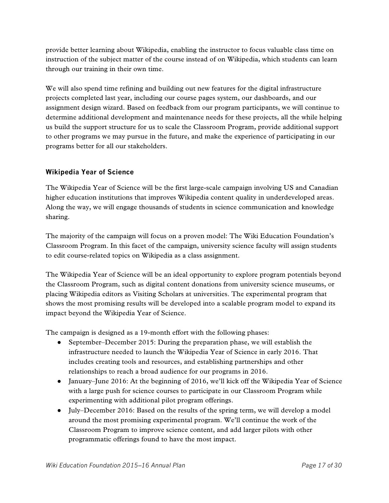provide better learning about Wikipedia, enabling the instructor to focus valuable class time on instruction of the subject matter of the course instead of on Wikipedia, which students can learn through our training in their own time.

We will also spend time refining and building out new features for the digital infrastructure projects completed last year, including our course pages system, our dashboards, and our assignment design wizard. Based on feedback from our program participants, we will continue to determine additional development and maintenance needs for these projects, all the while helping us build the support structure for us to scale the Classroom Program, provide additional support to other programs we may pursue in the future, and make the experience of participating in our programs better for all our stakeholders.

#### **Wikipedia Year of Science**

The Wikipedia Year of Science will be the first large-scale campaign involving US and Canadian higher education institutions that improves Wikipedia content quality in underdeveloped areas. Along the way, we will engage thousands of students in science communication and knowledge sharing.

The majority of the campaign will focus on a proven model: The Wiki Education Foundation's Classroom Program. In this facet of the campaign, university science faculty will assign students to edit course-related topics on Wikipedia as a class assignment.

The Wikipedia Year of Science will be an ideal opportunity to explore program potentials beyond the Classroom Program, such as digital content donations from university science museums, or placing Wikipedia editors as Visiting Scholars at universities. The experimental program that shows the most promising results will be developed into a scalable program model to expand its impact beyond the Wikipedia Year of Science.

The campaign is designed as a 19-month effort with the following phases:

- September–December 2015: During the preparation phase, we will establish the infrastructure needed to launch the Wikipedia Year of Science in early 2016. That includes creating tools and resources, and establishing partnerships and other relationships to reach a broad audience for our programs in 2016.
- January–June 2016: At the beginning of 2016, we'll kick off the Wikipedia Year of Science with a large push for science courses to participate in our Classroom Program while experimenting with additional pilot program offerings.
- July–December 2016: Based on the results of the spring term, we will develop a model around the most promising experimental program. We'll continue the work of the Classroom Program to improve science content, and add larger pilots with other programmatic offerings found to have the most impact.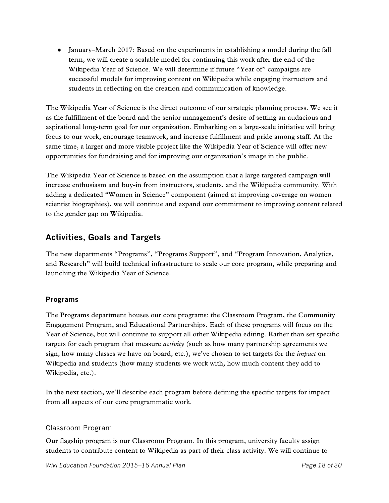● January–March 2017: Based on the experiments in establishing a model during the fall term, we will create a scalable model for continuing this work after the end of the Wikipedia Year of Science. We will determine if future "Year of" campaigns are successful models for improving content on Wikipedia while engaging instructors and students in reflecting on the creation and communication of knowledge.

The Wikipedia Year of Science is the direct outcome of our strategic planning process. We see it as the fulfillment of the board and the senior management's desire of setting an audacious and aspirational long-term goal for our organization. Embarking on a large-scale initiative will bring focus to our work, encourage teamwork, and increase fulfillment and pride among staff. At the same time, a larger and more visible project like the Wikipedia Year of Science will offer new opportunities for fundraising and for improving our organization's image in the public.

The Wikipedia Year of Science is based on the assumption that a large targeted campaign will increase enthusiasm and buy-in from instructors, students, and the Wikipedia community. With adding a dedicated "Women in Science" component (aimed at improving coverage on women scientist biographies), we will continue and expand our commitment to improving content related to the gender gap on Wikipedia.

# **Activities, Goals and Targets**

The new departments "Programs", "Programs Support", and "Program Innovation, Analytics, and Research" will build technical infrastructure to scale our core program, while preparing and launching the Wikipedia Year of Science.

#### **Programs**

The Programs department houses our core programs: the Classroom Program, the Community Engagement Program, and Educational Partnerships. Each of these programs will focus on the Year of Science, but will continue to support all other Wikipedia editing. Rather than set specific targets for each program that measure *activity* (such as how many partnership agreements we sign, how many classes we have on board, etc.), we've chosen to set targets for the *impact* on Wikipedia and students (how many students we work with, how much content they add to Wikipedia, etc.).

In the next section, we'll describe each program before defining the specific targets for impact from all aspects of our core programmatic work.

#### Classroom Program

Our flagship program is our Classroom Program. In this program, university faculty assign students to contribute content to Wikipedia as part of their class activity. We will continue to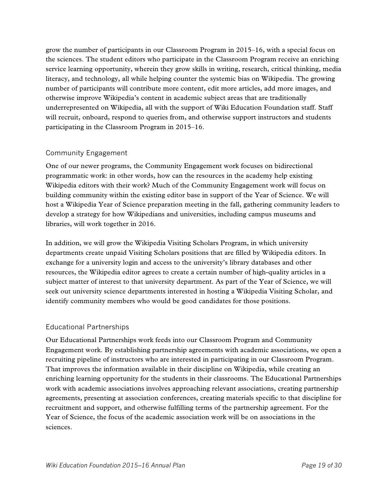grow the number of participants in our Classroom Program in 2015–16, with a special focus on the sciences. The student editors who participate in the Classroom Program receive an enriching service learning opportunity, wherein they grow skills in writing, research, critical thinking, media literacy, and technology, all while helping counter the systemic bias on Wikipedia. The growing number of participants will contribute more content, edit more articles, add more images, and otherwise improve Wikipedia's content in academic subject areas that are traditionally underrepresented on Wikipedia, all with the support of Wiki Education Foundation staff. Staff will recruit, onboard, respond to queries from, and otherwise support instructors and students participating in the Classroom Program in 2015–16.

#### Community Engagement

One of our newer programs, the Community Engagement work focuses on bidirectional programmatic work: in other words, how can the resources in the academy help existing Wikipedia editors with their work? Much of the Community Engagement work will focus on building community within the existing editor base in support of the Year of Science. We will host a Wikipedia Year of Science preparation meeting in the fall, gathering community leaders to develop a strategy for how Wikipedians and universities, including campus museums and libraries, will work together in 2016.

In addition, we will grow the Wikipedia Visiting Scholars Program, in which university departments create unpaid Visiting Scholars positions that are filled by Wikipedia editors. In exchange for a university login and access to the university's library databases and other resources, the Wikipedia editor agrees to create a certain number of high-quality articles in a subject matter of interest to that university department. As part of the Year of Science, we will seek out university science departments interested in hosting a Wikipedia Visiting Scholar, and identify community members who would be good candidates for those positions.

#### Educational Partnerships

Our Educational Partnerships work feeds into our Classroom Program and Community Engagement work. By establishing partnership agreements with academic associations, we open a recruiting pipeline of instructors who are interested in participating in our Classroom Program. That improves the information available in their discipline on Wikipedia, while creating an enriching learning opportunity for the students in their classrooms. The Educational Partnerships work with academic associations involves approaching relevant associations, creating partnership agreements, presenting at association conferences, creating materials specific to that discipline for recruitment and support, and otherwise fulfilling terms of the partnership agreement. For the Year of Science, the focus of the academic association work will be on associations in the sciences.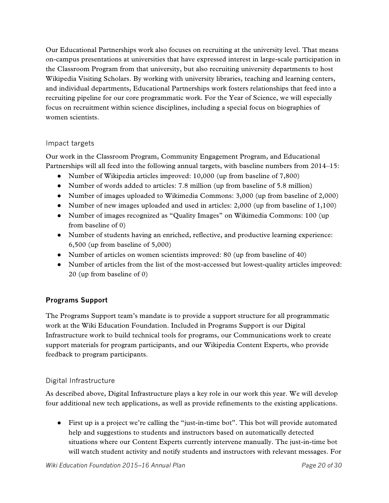Our Educational Partnerships work also focuses on recruiting at the university level. That means on-campus presentations at universities that have expressed interest in large-scale participation in the Classroom Program from that university, but also recruiting university departments to host Wikipedia Visiting Scholars. By working with university libraries, teaching and learning centers, and individual departments, Educational Partnerships work fosters relationships that feed into a recruiting pipeline for our core programmatic work. For the Year of Science, we will especially focus on recruitment within science disciplines, including a special focus on biographies of women scientists.

#### Impact targets

Our work in the Classroom Program, Community Engagement Program, and Educational Partnerships will all feed into the following annual targets, with baseline numbers from 2014–15:

- Number of Wikipedia articles improved: 10,000 (up from baseline of 7,800)
- Number of words added to articles: 7.8 million (up from baseline of 5.8 million)
- Number of images uploaded to Wikimedia Commons: 3,000 (up from baseline of 2,000)
- Number of new images uploaded and used in articles:  $2,000$  (up from baseline of 1,100)
- Number of images recognized as "Quality Images" on Wikimedia Commons: 100 (up from baseline of 0)
- Number of students having an enriched, reflective, and productive learning experience: 6,500 (up from baseline of 5,000)
- Number of articles on women scientists improved: 80 (up from baseline of 40)
- Number of articles from the list of the most-accessed but lowest-quality articles improved: 20 (up from baseline of 0)

#### **Programs Support**

The Programs Support team's mandate is to provide a support structure for all programmatic work at the Wiki Education Foundation. Included in Programs Support is our Digital Infrastructure work to build technical tools for programs, our Communications work to create support materials for program participants, and our Wikipedia Content Experts, who provide feedback to program participants.

#### Digital Infrastructure

As described above, Digital Infrastructure plays a key role in our work this year. We will develop four additional new tech applications, as well as provide refinements to the existing applications.

● First up is a project we're calling the "just-in-time bot". This bot will provide automated help and suggestions to students and instructors based on automatically detected situations where our Content Experts currently intervene manually. The just-in-time bot will watch student activity and notify students and instructors with relevant messages. For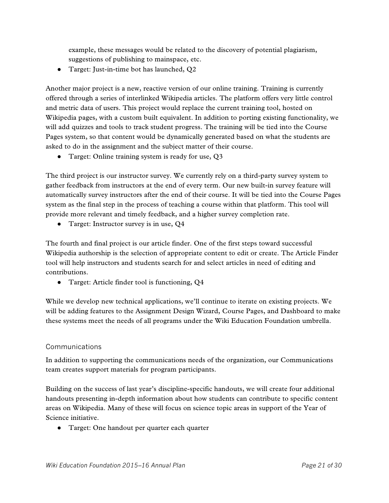example, these messages would be related to the discovery of potential plagiarism, suggestions of publishing to mainspace, etc.

● Target: Just-in-time bot has launched, Q2

Another major project is a new, reactive version of our online training. Training is currently offered through a series of interlinked Wikipedia articles. The platform offers very little control and metric data of users. This project would replace the current training tool, hosted on Wikipedia pages, with a custom built equivalent. In addition to porting existing functionality, we will add quizzes and tools to track student progress. The training will be tied into the Course Pages system, so that content would be dynamically generated based on what the students are asked to do in the assignment and the subject matter of their course.

● Target: Online training system is ready for use, Q3

The third project is our instructor survey. We currently rely on a third-party survey system to gather feedback from instructors at the end of every term. Our new built-in survey feature will automatically survey instructors after the end of their course. It will be tied into the Course Pages system as the final step in the process of teaching a course within that platform. This tool will provide more relevant and timely feedback, and a higher survey completion rate.

• Target: Instructor survey is in use, Q4

The fourth and final project is our article finder. One of the first steps toward successful Wikipedia authorship is the selection of appropriate content to edit or create. The Article Finder tool will help instructors and students search for and select articles in need of editing and contributions.

● Target: Article finder tool is functioning, Q4

While we develop new technical applications, we'll continue to iterate on existing projects. We will be adding features to the Assignment Design Wizard, Course Pages, and Dashboard to make these systems meet the needs of all programs under the Wiki Education Foundation umbrella.

#### Communications

In addition to supporting the communications needs of the organization, our Communications team creates support materials for program participants.

Building on the success of last year's discipline-specific handouts, we will create four additional handouts presenting in-depth information about how students can contribute to specific content areas on Wikipedia. Many of these will focus on science topic areas in support of the Year of Science initiative.

● Target: One handout per quarter each quarter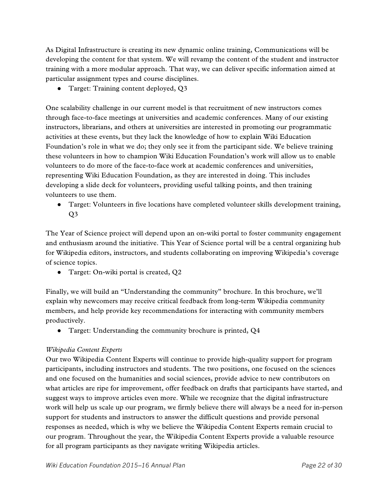As Digital Infrastructure is creating its new dynamic online training, Communications will be developing the content for that system. We will revamp the content of the student and instructor training with a more modular approach. That way, we can deliver specific information aimed at particular assignment types and course disciplines.

• Target: Training content deployed, Q3

One scalability challenge in our current model is that recruitment of new instructors comes through face-to-face meetings at universities and academic conferences. Many of our existing instructors, librarians, and others at universities are interested in promoting our programmatic activities at these events, but they lack the knowledge of how to explain Wiki Education Foundation's role in what we do; they only see it from the participant side. We believe training these volunteers in how to champion Wiki Education Foundation's work will allow us to enable volunteers to do more of the face-to-face work at academic conferences and universities, representing Wiki Education Foundation, as they are interested in doing. This includes developing a slide deck for volunteers, providing useful talking points, and then training volunteers to use them.

● Target: Volunteers in five locations have completed volunteer skills development training, Q3

The Year of Science project will depend upon an on-wiki portal to foster community engagement and enthusiasm around the initiative. This Year of Science portal will be a central organizing hub for Wikipedia editors, instructors, and students collaborating on improving Wikipedia's coverage of science topics.

• Target: On-wiki portal is created, Q2

Finally, we will build an "Understanding the community" brochure. In this brochure, we'll explain why newcomers may receive critical feedback from long-term Wikipedia community members, and help provide key recommendations for interacting with community members productively.

• Target: Understanding the community brochure is printed, Q4

#### *Wikipedia Content Experts*

Our two Wikipedia Content Experts will continue to provide high-quality support for program participants, including instructors and students. The two positions, one focused on the sciences and one focused on the humanities and social sciences, provide advice to new contributors on what articles are ripe for improvement, offer feedback on drafts that participants have started, and suggest ways to improve articles even more. While we recognize that the digital infrastructure work will help us scale up our program, we firmly believe there will always be a need for in-person support for students and instructors to answer the difficult questions and provide personal responses as needed, which is why we believe the Wikipedia Content Experts remain crucial to our program. Throughout the year, the Wikipedia Content Experts provide a valuable resource for all program participants as they navigate writing Wikipedia articles.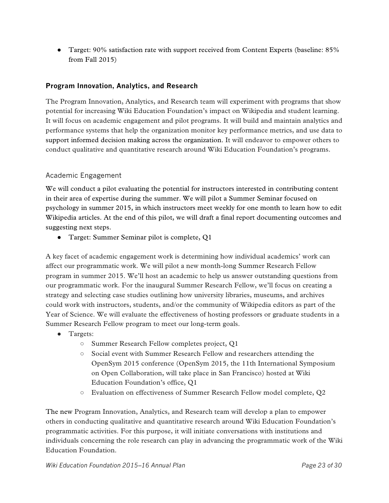● Target: 90% satisfaction rate with support received from Content Experts (baseline: 85% from Fall 2015)

#### **Program Innovation, Analytics, and Research**

The Program Innovation, Analytics, and Research team will experiment with programs that show potential for increasing Wiki Education Foundation's impact on Wikipedia and student learning. It will focus on academic engagement and pilot programs. It will build and maintain analytics and performance systems that help the organization monitor key performance metrics, and use data to support informed decision making across the organization. It will endeavor to empower others to conduct qualitative and quantitative research around Wiki Education Foundation's programs.

#### Academic Engagement

We will conduct a pilot evaluating the potential for instructors interested in contributing content in their area of expertise during the summer. We will pilot a Summer Seminar focused on psychology in summer 2015, in which instructors meet weekly for one month to learn how to edit Wikipedia articles. At the end of this pilot, we will draft a final report documenting outcomes and suggesting next steps.

● Target: Summer Seminar pilot is complete, Q1

A key facet of academic engagement work is determining how individual academics' work can affect our programmatic work. We will pilot a new month-long Summer Research Fellow program in summer 2015. We'll host an academic to help us answer outstanding questions from our programmatic work. For the inaugural Summer Research Fellow, we'll focus on creating a strategy and selecting case studies outlining how university libraries, museums, and archives could work with instructors, students, and/or the community of Wikipedia editors as part of the Year of Science. We will evaluate the effectiveness of hosting professors or graduate students in a Summer Research Fellow program to meet our long-term goals.

- Targets:
	- Summer Research Fellow completes project, Q1
	- Social event with Summer Research Fellow and researchers attending the OpenSym 2015 conference (OpenSym 2015, the 11th International Symposium on Open Collaboration, will take place in San Francisco) hosted at Wiki Education Foundation's office, Q1
	- Evaluation on effectiveness of Summer Research Fellow model complete, Q2

The new Program Innovation, Analytics, and Research team will develop a plan to empower others in conducting qualitative and quantitative research around Wiki Education Foundation's programmatic activities. For this purpose, it will initiate conversations with institutions and individuals concerning the role research can play in advancing the programmatic work of the Wiki Education Foundation.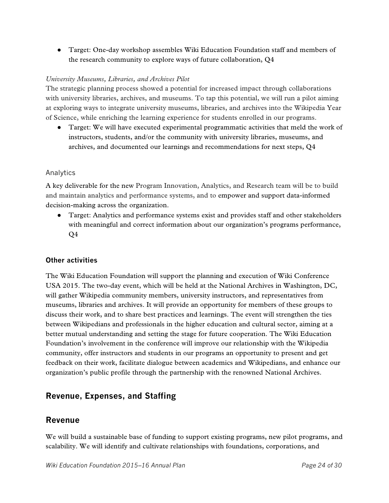● Target: One-day workshop assembles Wiki Education Foundation staff and members of the research community to explore ways of future collaboration, Q4

#### *University Museums, Libraries, and Archives Pilot*

The strategic planning process showed a potential for increased impact through collaborations with university libraries, archives, and museums. To tap this potential, we will run a pilot aiming at exploring ways to integrate university museums, libraries, and archives into the Wikipedia Year of Science, while enriching the learning experience for students enrolled in our programs.

● Target: We will have executed experimental programmatic activities that meld the work of instructors, students, and/or the community with university libraries, museums, and archives, and documented our learnings and recommendations for next steps, Q4

#### Analytics

A key deliverable for the new Program Innovation, Analytics, and Research team will be to build and maintain analytics and performance systems, and to empower and support data-informed decision-making across the organization.

● Target: Analytics and performance systems exist and provides staff and other stakeholders with meaningful and correct information about our organization's programs performance, Q4

#### **Other activities**

The Wiki Education Foundation will support the planning and execution of Wiki Conference USA 2015. The two-day event, which will be held at the National Archives in Washington, DC, will gather Wikipedia community members, university instructors, and representatives from museums, libraries and archives. It will provide an opportunity for members of these groups to discuss their work, and to share best practices and learnings. The event will strengthen the ties between Wikipedians and professionals in the higher education and cultural sector, aiming at a better mutual understanding and setting the stage for future cooperation. The Wiki Education Foundation's involvement in the conference will improve our relationship with the Wikipedia community, offer instructors and students in our programs an opportunity to present and get feedback on their work, facilitate dialogue between academics and Wikipedians, and enhance our organization's public profile through the partnership with the renowned National Archives.

### **Revenue, Expenses, and Staffing**

#### **Revenue**

We will build a sustainable base of funding to support existing programs, new pilot programs, and scalability. We will identify and cultivate relationships with foundations, corporations, and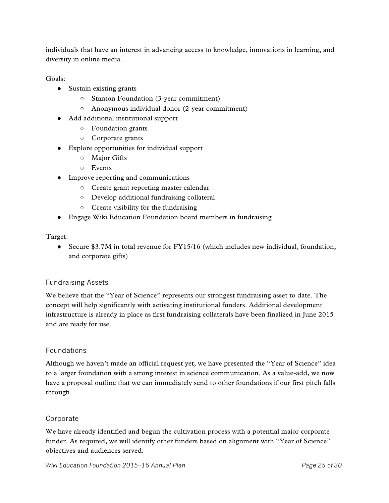individuals that have an interest in advancing access to knowledge, innovations in learning, and diversity in online media.

Goals:

- Sustain existing grants
	- Stanton Foundation (3-year commitment)
	- Anonymous individual donor (2-year commitment)
- Add additional institutional support
	- Foundation grants
	- Corporate grants
- Explore opportunities for individual support
	- Major Gifts
	- Events
- Improve reporting and communications
	- Create grant reporting master calendar
	- Develop additional fundraising collateral
	- Create visibility for the fundraising
- Engage Wiki Education Foundation board members in fundraising

Target:

• Secure \$3.7M in total revenue for FY15/16 (which includes new individual, foundation, and corporate gifts)

#### Fundraising Assets

We believe that the "Year of Science" represents our strongest fundraising asset to date. The concept will help significantly with activating institutional funders. Additional development infrastructure is already in place as first fundraising collaterals have been finalized in June 2015 and are ready for use.

#### Foundations

Although we haven't made an official request yet, we have presented the "Year of Science" idea to a larger foundation with a strong interest in science communication. As a value-add, we now have a proposal outline that we can immediately send to other foundations if our first pitch falls through.

#### Corporate

We have already identified and begun the cultivation process with a potential major corporate funder. As required, we will identify other funders based on alignment with "Year of Science" objectives and audiences served.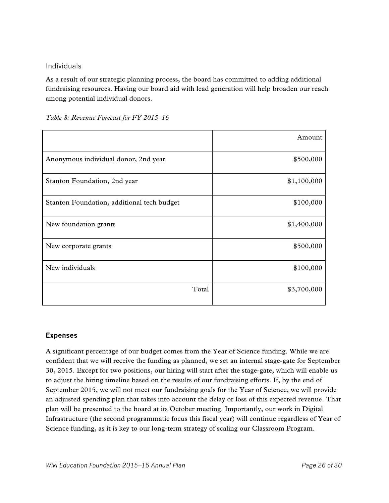#### Individuals

As a result of our strategic planning process, the board has committed to adding additional fundraising resources. Having our board aid with lead generation will help broaden our reach among potential individual donors.

|                                            | Amount      |
|--------------------------------------------|-------------|
| Anonymous individual donor, 2nd year       | \$500,000   |
| Stanton Foundation, 2nd year               | \$1,100,000 |
| Stanton Foundation, additional tech budget | \$100,000   |
| New foundation grants                      | \$1,400,000 |
| New corporate grants                       | \$500,000   |
| New individuals                            | \$100,000   |
| Total                                      | \$3,700,000 |

*Table 8: Revenue Forecast for FY 2015–16*

#### **Expenses**

A significant percentage of our budget comes from the Year of Science funding. While we are confident that we will receive the funding as planned, we set an internal stage-gate for September 30, 2015. Except for two positions, our hiring will start after the stage-gate, which will enable us to adjust the hiring timeline based on the results of our fundraising efforts. If, by the end of September 2015, we will not meet our fundraising goals for the Year of Science, we will provide an adjusted spending plan that takes into account the delay or loss of this expected revenue. That plan will be presented to the board at its October meeting. Importantly, our work in Digital Infrastructure (the second programmatic focus this fiscal year) will continue regardless of Year of Science funding, as it is key to our long-term strategy of scaling our Classroom Program.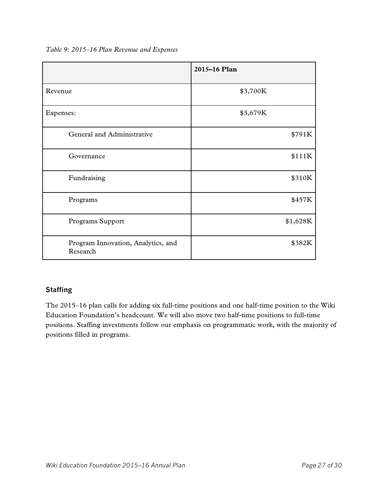*Table 9: 2015–16 Plan Revenue and Expenses*

|                                                | 2015-16 Plan |
|------------------------------------------------|--------------|
| Revenue                                        | \$3,700K     |
| Expenses:                                      | \$3,679K     |
| General and Administrative                     | \$791K       |
| Governance                                     | \$111K       |
| Fundraising                                    | \$310K       |
| Programs                                       | \$457K       |
| Programs Support                               | \$1,628K     |
| Program Innovation, Analytics, and<br>Research | \$382K       |

#### **Staffing**

The 2015–16 plan calls for adding six full-time positions and one half-time position to the Wiki Education Foundation's headcount. We will also move two half-time positions to full-time positions. Staffing investments follow our emphasis on programmatic work, with the majority of positions filled in programs.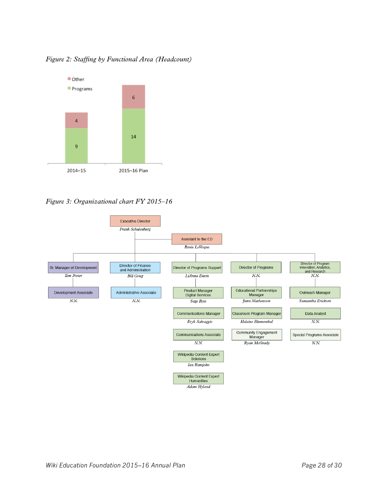

*Figure 2: Staffing by Functional Area (Headcount)*

*Figure 3: Organizational chart FY 2015–16*

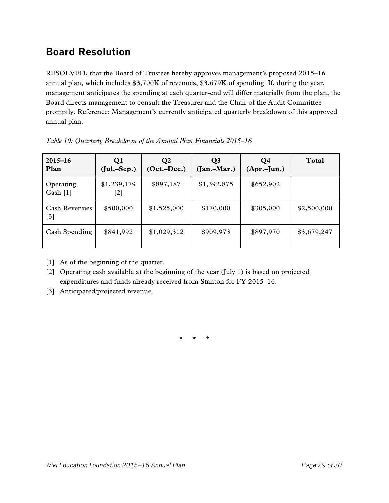# <span id="page-28-0"></span>**Board Resolution**

RESOLVED, that the Board of Trustees hereby approves management's proposed 2015–16 annual plan, which includes \$3,700K of revenues, \$3,679K of spending. If, during the year, management anticipates the spending at each quarter-end will differ materially from the plan, the Board directs management to consult the Treasurer and the Chair of the Audit Committee promptly. Reference: Management's currently anticipated quarterly breakdown of this approved annual plan.

| $2015 - 16$<br>Plan           | Q <sub>1</sub><br>$(Jul.-Sep.)$ | $\mathbf{Q}$<br>$(Oct.-Dec.)$ | Q <sub>3</sub><br>$(Jan.-Mar.)$ | Q4<br>$(Apr.-Jun.)$ | Total       |
|-------------------------------|---------------------------------|-------------------------------|---------------------------------|---------------------|-------------|
| Operating<br>Cash [1]         | \$1,239,179<br>[2]              | \$897,187                     | \$1,392,875                     | \$652,902           |             |
| <b>Cash Revenues</b><br>$[3]$ | \$500,000                       | \$1,525,000                   | \$170,000                       | \$305,000           | \$2,500,000 |
| Cash Spending                 | \$841,992                       | \$1,029,312                   | \$909,973                       | \$897,970           | \$3,679,247 |

*Table 10: Quarterly Breakdown of the Annual Plan Financials 2015–16*

[1] As of the beginning of the quarter.

[2] Operating cash available at the beginning of the year (July 1) is based on projected expenditures and funds already received from Stanton for FY 2015–16.

[3] Anticipated/projected revenue.

\* \* \*